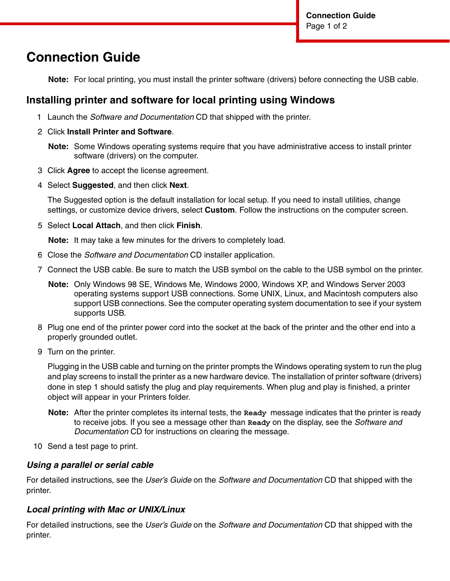# **Connection Guide**

**Note:** For local printing, you must install the printer software (drivers) before connecting the USB cable.

## **Installing printer and software for local printing using Windows**

- 1 Launch the *Software and Documentation* CD that shipped with the printer.
- 2 Click **Install Printer and Software**.

- 3 Click **Agree** to accept the license agreement.
- 4 Select **Suggested**, and then click **Next**.

The Suggested option is the default installation for local setup. If you need to install utilities, change settings, or customize device drivers, select **Custom**. Follow the instructions on the computer screen.

5 Select **Local Attach**, and then click **Finish**.

**Note:** It may take a few minutes for the drivers to completely load.

- 6 Close the *Software and Documentation* CD installer application.
- 7 Connect the USB cable. Be sure to match the USB symbol on the cable to the USB symbol on the printer.
	- **Note:** Only Windows 98 SE, Windows Me, Windows 2000, Windows XP, and Windows Server 2003 operating systems support USB connections. Some UNIX, Linux, and Macintosh computers also support USB connections. See the computer operating system documentation to see if your system supports USB.
- 8 Plug one end of the printer power cord into the socket at the back of the printer and the other end into a properly grounded outlet.
- 9 Turn on the printer.

Plugging in the USB cable and turning on the printer prompts the Windows operating system to run the plug and play screens to install the printer as a new hardware device. The installation of printer software (drivers) done in step 1 should satisfy the plug and play requirements. When plug and play is finished, a printer object will appear in your Printers folder.

- **Note:** After the printer completes its internal tests, the **Ready** message indicates that the printer is ready to receive jobs. If you see a message other than **Ready** on the display, see the *Software and Documentation* CD for instructions on clearing the message.
- 10 Send a test page to print.

#### *Using a parallel or serial cable*

For detailed instructions, see the *User's Guide* on the *Software and Documentation* CD that shipped with the printer.

#### *Local printing with Mac or UNIX/Linux*

For detailed instructions, see the *User's Guide* on the *Software and Documentation* CD that shipped with the printer.

**Note:** Some Windows operating systems require that you have administrative access to install printer software (drivers) on the computer.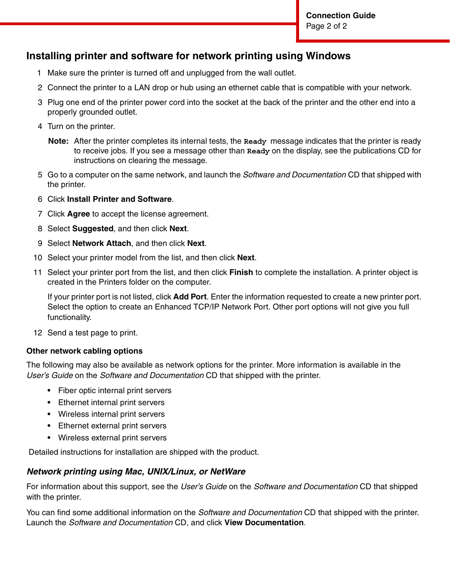## **Installing printer and software for network printing using Windows**

- 1 Make sure the printer is turned off and unplugged from the wall outlet.
- 2 Connect the printer to a LAN drop or hub using an ethernet cable that is compatible with your network.
- 3 Plug one end of the printer power cord into the socket at the back of the printer and the other end into a properly grounded outlet.
- 4 Turn on the printer.
	- **Note:** After the printer completes its internal tests, the **Ready** message indicates that the printer is ready to receive jobs. If you see a message other than **Ready** on the display, see the publications CD for instructions on clearing the message.
- 5 Go to a computer on the same network, and launch the *Software and Documentation* CD that shipped with the printer.
- 6 Click **Install Printer and Software**.
- 7 Click **Agree** to accept the license agreement.
- 8 Select **Suggested**, and then click **Next**.
- 9 Select **Network Attach**, and then click **Next**.
- 10 Select your printer model from the list, and then click **Next**.
- 11 Select your printer port from the list, and then click **Finish** to complete the installation. A printer object is created in the Printers folder on the computer.

If your printer port is not listed, click **Add Port**. Enter the information requested to create a new printer port. Select the option to create an Enhanced TCP/IP Network Port. Other port options will not give you full functionality.

12 Send a test page to print.

#### **Other network cabling options**

The following may also be available as network options for the printer. More information is available in the *User's Guide* on the *Software and Documentation* CD that shipped with the printer.

- **•** Fiber optic internal print servers
- **•** Ethernet internal print servers
- **•** Wireless internal print servers
- **•** Ethernet external print servers
- **•** Wireless external print servers

Detailed instructions for installation are shipped with the product.

#### *Network printing using Mac, UNIX/Linux, or NetWare*

For information about this support, see the *User's Guide* on the *Software and Documentation* CD that shipped with the printer.

You can find some additional information on the *Software and Documentation* CD that shipped with the printer. Launch the *Software and Documentation* CD, and click **View Documentation**.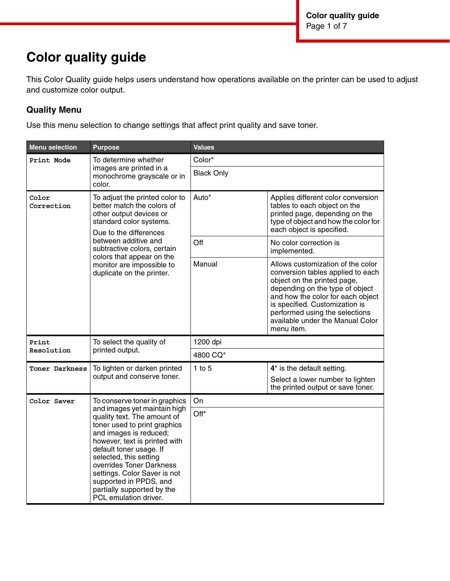# **Color quality guide**

This Color Quality guide helps users understand how operations available on the printer can be used to adjust and customize color output.

### **Quality Menu**

Use this menu selection to change settings that affect print quality and save toner.

| <b>Menu selection</b> | <b>Purpose</b>                                                                                                                                                                                                                                                                                                                                           | <b>Values</b>     |                                                                                                                                                                                                                                                                                                     |  |
|-----------------------|----------------------------------------------------------------------------------------------------------------------------------------------------------------------------------------------------------------------------------------------------------------------------------------------------------------------------------------------------------|-------------------|-----------------------------------------------------------------------------------------------------------------------------------------------------------------------------------------------------------------------------------------------------------------------------------------------------|--|
| Print Mode            | To determine whether                                                                                                                                                                                                                                                                                                                                     | Color*            |                                                                                                                                                                                                                                                                                                     |  |
|                       | images are printed in a<br>monochrome grayscale or in<br>color.                                                                                                                                                                                                                                                                                          | <b>Black Only</b> |                                                                                                                                                                                                                                                                                                     |  |
| Color<br>Correction   | To adjust the printed color to<br>better match the colors of<br>other output devices or<br>standard color systems.<br>Due to the differences                                                                                                                                                                                                             | Auto*             | Applies different color conversion<br>tables to each object on the<br>printed page, depending on the<br>type of object and how the color for<br>each object is specified.                                                                                                                           |  |
|                       | between additive and<br>subtractive colors, certain                                                                                                                                                                                                                                                                                                      | Off               | No color correction is<br>implemented.                                                                                                                                                                                                                                                              |  |
|                       | colors that appear on the<br>monitor are impossible to<br>duplicate on the printer.                                                                                                                                                                                                                                                                      | Manual            | Allows customization of the color<br>conversion tables applied to each<br>object on the printed page,<br>depending on the type of object<br>and how the color for each object<br>is specified. Customization is<br>performed using the selections<br>available under the Manual Color<br>menu item. |  |
| Print                 | To select the quality of                                                                                                                                                                                                                                                                                                                                 | 1200 dpi          |                                                                                                                                                                                                                                                                                                     |  |
| Resolution            | printed output.                                                                                                                                                                                                                                                                                                                                          | 4800 CQ*          |                                                                                                                                                                                                                                                                                                     |  |
| Toner Darkness        | To lighten or darken printed<br>output and conserve toner.                                                                                                                                                                                                                                                                                               | $1$ to $5$        | 4* is the default setting.<br>Select a lower number to lighten<br>the printed output or save toner.                                                                                                                                                                                                 |  |
| Color Saver           | To conserve toner in graphics                                                                                                                                                                                                                                                                                                                            | On                |                                                                                                                                                                                                                                                                                                     |  |
|                       | and images yet maintain high<br>quality text. The amount of<br>toner used to print graphics<br>and images is reduced;<br>however, text is printed with<br>default toner usage. If<br>selected, this setting<br>overrides Toner Darkness<br>settings. Color Saver is not<br>supported in PPDS, and<br>partially supported by the<br>PCL emulation driver. | Off*              |                                                                                                                                                                                                                                                                                                     |  |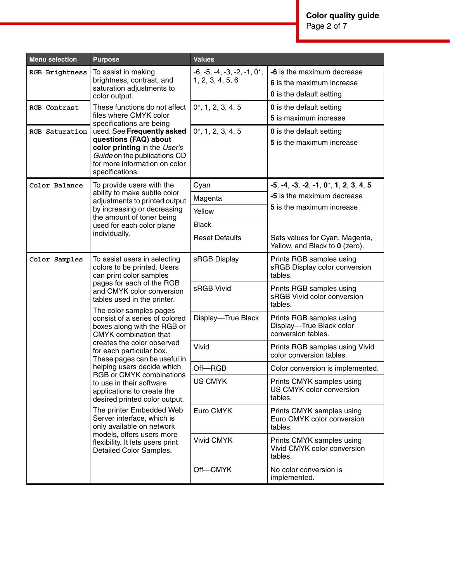**Color quality guide** Page 2 of 7

| <b>Menu selection</b> | <b>Purpose</b>                                                                                                                                                          | <b>Values</b>                                     |                                                                                            |  |
|-----------------------|-------------------------------------------------------------------------------------------------------------------------------------------------------------------------|---------------------------------------------------|--------------------------------------------------------------------------------------------|--|
| RGB Brightness        | To assist in making<br>brightness, contrast, and<br>saturation adjustments to<br>color output.                                                                          | $-6, -5, -4, -3, -2, -1, 0$ ,<br>1, 2, 3, 4, 5, 6 | -6 is the maximum decrease<br>6 is the maximum increase<br><b>0</b> is the default setting |  |
| RGB Contrast          | These functions do not affect<br>files where CMYK color<br>specifications are being                                                                                     | $0^*$ , 1, 2, 3, 4, 5                             | <b>0</b> is the default setting<br>5 is maximum increase                                   |  |
| RGB Saturation        | used. See Frequently asked<br>questions (FAQ) about<br>color printing in the User's<br>Guide on the publications CD<br>for more information on color<br>specifications. | $0^*$ , 1, 2, 3, 4, 5                             | <b>0</b> is the default setting<br>5 is the maximum increase                               |  |
| Color Balance         | To provide users with the                                                                                                                                               | Cyan                                              | $-5, -4, -3, -2, -1, 0^*, 1, 2, 3, 4, 5$                                                   |  |
|                       | ability to make subtle color<br>adjustments to printed output                                                                                                           | Magenta                                           | -5 is the maximum decrease                                                                 |  |
|                       | by increasing or decreasing                                                                                                                                             | Yellow                                            | 5 is the maximum increase                                                                  |  |
|                       | the amount of toner being<br>used for each color plane                                                                                                                  | <b>Black</b>                                      |                                                                                            |  |
|                       | individually.                                                                                                                                                           | <b>Reset Defaults</b>                             | Sets values for Cyan, Magenta,<br>Yellow, and Black to 0 (zero).                           |  |
| Color Samples         | To assist users in selecting<br>colors to be printed. Users<br>can print color samples                                                                                  | sRGB Display                                      | Prints RGB samples using<br>sRGB Display color conversion<br>tables.                       |  |
|                       | pages for each of the RGB<br>and CMYK color conversion<br>tables used in the printer.                                                                                   | sRGB Vivid                                        | Prints RGB samples using<br>sRGB Vivid color conversion<br>tables.                         |  |
|                       | The color samples pages<br>consist of a series of colored<br>boxes along with the RGB or<br><b>CMYK</b> combination that                                                | Display-True Black                                | Prints RGB samples using<br>Display-True Black color<br>conversion tables.                 |  |
|                       | creates the color observed<br>for each particular box.<br>These pages can be useful in                                                                                  | Vivid                                             | Prints RGB samples using Vivid<br>color conversion tables.                                 |  |
|                       | helping users decide which                                                                                                                                              | Off-RGB                                           | Color conversion is implemented.                                                           |  |
|                       | RGB or CMYK combinations<br>to use in their software<br>applications to create the<br>desired printed color output.                                                     | <b>US CMYK</b>                                    | Prints CMYK samples using<br>US CMYK color conversion<br>tables.                           |  |
|                       | The printer Embedded Web<br>Server interface, which is<br>only available on network                                                                                     | Euro CMYK                                         | Prints CMYK samples using<br>Euro CMYK color conversion<br>tables.                         |  |
|                       | models, offers users more<br>flexibility. It lets users print<br>Detailed Color Samples.                                                                                | <b>Vivid CMYK</b>                                 | Prints CMYK samples using<br>Vivid CMYK color conversion<br>tables.                        |  |
|                       |                                                                                                                                                                         | Off-CMYK                                          | No color conversion is<br>implemented.                                                     |  |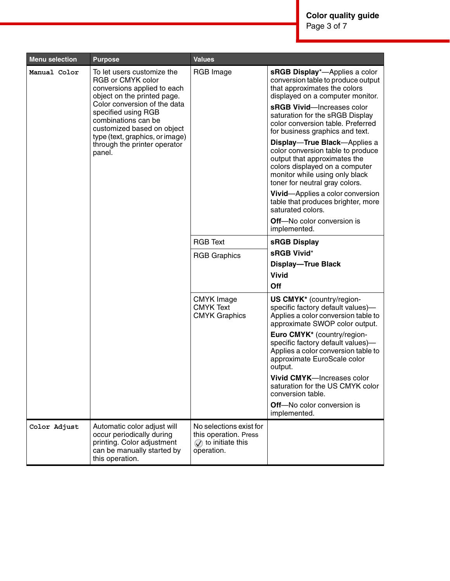| <b>Menu selection</b> | <b>Purpose</b>                                                                                                                          | <b>Values</b>                                                                                    |                                                                                                                                                                                                         |
|-----------------------|-----------------------------------------------------------------------------------------------------------------------------------------|--------------------------------------------------------------------------------------------------|---------------------------------------------------------------------------------------------------------------------------------------------------------------------------------------------------------|
| Manual Color          | To let users customize the<br>RGB or CMYK color<br>conversions applied to each<br>object on the printed page.                           | RGB Image                                                                                        | sRGB Display*-Applies a color<br>conversion table to produce output<br>that approximates the colors<br>displayed on a computer monitor.                                                                 |
|                       | Color conversion of the data<br>specified using RGB<br>combinations can be<br>customized based on object                                |                                                                                                  | sRGB Vivid-Increases color<br>saturation for the sRGB Display<br>color conversion table. Preferred<br>for business graphics and text.                                                                   |
|                       | type (text, graphics, or image)<br>through the printer operator<br>panel.                                                               |                                                                                                  | Display-True Black-Applies a<br>color conversion table to produce<br>output that approximates the<br>colors displayed on a computer<br>monitor while using only black<br>toner for neutral gray colors. |
|                       |                                                                                                                                         |                                                                                                  | Vivid-Applies a color conversion<br>table that produces brighter, more<br>saturated colors.                                                                                                             |
|                       |                                                                                                                                         |                                                                                                  | Off-No color conversion is<br>implemented.                                                                                                                                                              |
|                       |                                                                                                                                         | <b>RGB Text</b>                                                                                  | sRGB Display                                                                                                                                                                                            |
|                       |                                                                                                                                         | <b>RGB Graphics</b>                                                                              | sRGB Vivid*                                                                                                                                                                                             |
|                       |                                                                                                                                         |                                                                                                  | <b>Display-True Black</b>                                                                                                                                                                               |
|                       |                                                                                                                                         |                                                                                                  | <b>Vivid</b>                                                                                                                                                                                            |
|                       |                                                                                                                                         |                                                                                                  | Off                                                                                                                                                                                                     |
|                       |                                                                                                                                         | <b>CMYK</b> Image<br><b>CMYK Text</b><br><b>CMYK Graphics</b>                                    | US CMYK* (country/region-<br>specific factory default values)-<br>Applies a color conversion table to<br>approximate SWOP color output.                                                                 |
|                       |                                                                                                                                         |                                                                                                  | Euro CMYK* (country/region-<br>specific factory default values)-<br>Applies a color conversion table to<br>approximate EuroScale color<br>output.                                                       |
|                       |                                                                                                                                         |                                                                                                  | <b>Vivid CMYK—Increases color</b><br>saturation for the US CMYK color<br>conversion table.                                                                                                              |
|                       |                                                                                                                                         |                                                                                                  | <b>Off-No color conversion is</b><br>implemented.                                                                                                                                                       |
| Color Adjust          | Automatic color adjust will<br>occur periodically during<br>printing. Color adjustment<br>can be manually started by<br>this operation. | No selections exist for<br>this operation. Press<br>$\circled{)}$ to initiate this<br>operation. |                                                                                                                                                                                                         |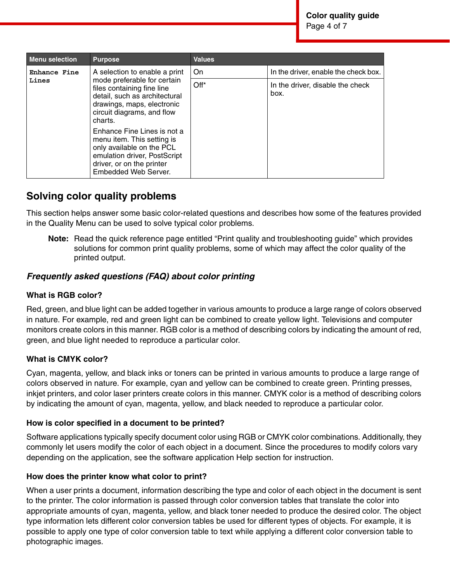| <b>Menu selection</b>                                                                                                                                                       | <b>Purpose</b>                                                                                                                                                    | <b>Values</b> |                                          |
|-----------------------------------------------------------------------------------------------------------------------------------------------------------------------------|-------------------------------------------------------------------------------------------------------------------------------------------------------------------|---------------|------------------------------------------|
| Enhance Fine                                                                                                                                                                | A selection to enable a print                                                                                                                                     | On.           | In the driver, enable the check box.     |
| Lines                                                                                                                                                                       | mode preferable for certain<br>files containing fine line<br>detail, such as architectural<br>drawings, maps, electronic<br>circuit diagrams, and flow<br>charts. | Off*          | In the driver, disable the check<br>box. |
| Enhance Fine Lines is not a<br>menu item. This setting is<br>only available on the PCL<br>emulation driver, PostScript<br>driver, or on the printer<br>Embedded Web Server. |                                                                                                                                                                   |               |                                          |

## **Solving color quality problems**

This section helps answer some basic color-related questions and describes how some of the features provided in the Quality Menu can be used to solve typical color problems.

**Note:** Read the quick reference page entitled "Print quality and troubleshooting guide" which provides solutions for common print quality problems, some of which may affect the color quality of the printed output.

### *Frequently asked questions (FAQ) about color printing*

#### **What is RGB color?**

Red, green, and blue light can be added together in various amounts to produce a large range of colors observed in nature. For example, red and green light can be combined to create yellow light. Televisions and computer monitors create colors in this manner. RGB color is a method of describing colors by indicating the amount of red, green, and blue light needed to reproduce a particular color.

#### **What is CMYK color?**

Cyan, magenta, yellow, and black inks or toners can be printed in various amounts to produce a large range of colors observed in nature. For example, cyan and yellow can be combined to create green. Printing presses, inkjet printers, and color laser printers create colors in this manner. CMYK color is a method of describing colors by indicating the amount of cyan, magenta, yellow, and black needed to reproduce a particular color.

#### **How is color specified in a document to be printed?**

Software applications typically specify document color using RGB or CMYK color combinations. Additionally, they commonly let users modify the color of each object in a document. Since the procedures to modify colors vary depending on the application, see the software application Help section for instruction.

#### **How does the printer know what color to print?**

When a user prints a document, information describing the type and color of each object in the document is sent to the printer. The color information is passed through color conversion tables that translate the color into appropriate amounts of cyan, magenta, yellow, and black toner needed to produce the desired color. The object type information lets different color conversion tables be used for different types of objects. For example, it is possible to apply one type of color conversion table to text while applying a different color conversion table to photographic images.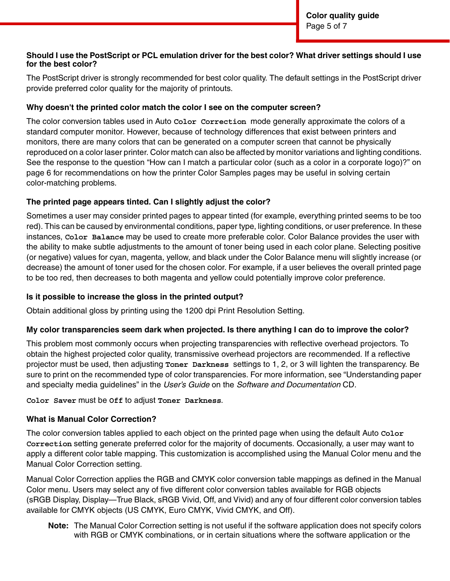#### **Should I use the PostScript or PCL emulation driver for the best color? What driver settings should I use for the best color?**

The PostScript driver is strongly recommended for best color quality. The default settings in the PostScript driver provide preferred color quality for the majority of printouts.

#### **Why doesn't the printed color match the color I see on the computer screen?**

The color conversion tables used in Auto **Color Correction** mode generally approximate the colors of a standard computer monitor. However, because of technology differences that exist between printers and monitors, there are many colors that can be generated on a computer screen that cannot be physically reproduced on a color laser printer. Color match can also be affected by monitor variations and lighting conditions. See the response to the question "How can I match a particular color (such as a color in a corporate logo)?" on page 6 for recommendations on how the printer Color Samples pages may be useful in solving certain color-matching problems.

#### **The printed page appears tinted. Can I slightly adjust the color?**

Sometimes a user may consider printed pages to appear tinted (for example, everything printed seems to be too red). This can be caused by environmental conditions, paper type, lighting conditions, or user preference. In these instances, **Color Balance** may be used to create more preferable color. Color Balance provides the user with the ability to make subtle adjustments to the amount of toner being used in each color plane. Selecting positive (or negative) values for cyan, magenta, yellow, and black under the Color Balance menu will slightly increase (or decrease) the amount of toner used for the chosen color. For example, if a user believes the overall printed page to be too red, then decreases to both magenta and yellow could potentially improve color preference.

#### **Is it possible to increase the gloss in the printed output?**

Obtain additional gloss by printing using the 1200 dpi Print Resolution Setting.

#### **My color transparencies seem dark when projected. Is there anything I can do to improve the color?**

This problem most commonly occurs when projecting transparencies with reflective overhead projectors. To obtain the highest projected color quality, transmissive overhead projectors are recommended. If a reflective projector must be used, then adjusting **Toner Darkness** settings to 1, 2, or 3 will lighten the transparency. Be sure to print on the recommended type of color transparencies. For more information, see "Understanding paper and specialty media guidelines" in the *User's Guide* on the *Software and Documentation* CD.

**Color Saver** must be **Off** to adjust **Toner Darkness**.

#### **What is Manual Color Correction?**

The color conversion tables applied to each object on the printed page when using the default Auto **Color Correction** setting generate preferred color for the majority of documents. Occasionally, a user may want to apply a different color table mapping. This customization is accomplished using the Manual Color menu and the Manual Color Correction setting.

Manual Color Correction applies the RGB and CMYK color conversion table mappings as defined in the Manual Color menu. Users may select any of five different color conversion tables available for RGB objects (sRGB Display, Display—True Black, sRGB Vivid, Off, and Vivid) and any of four different color conversion tables available for CMYK objects (US CMYK, Euro CMYK, Vivid CMYK, and Off).

**Note:** The Manual Color Correction setting is not useful if the software application does not specify colors with RGB or CMYK combinations, or in certain situations where the software application or the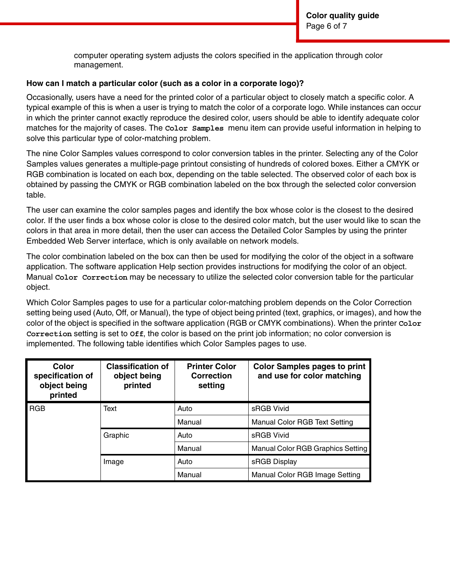computer operating system adjusts the colors specified in the application through color management.

#### **How can I match a particular color (such as a color in a corporate logo)?**

Occasionally, users have a need for the printed color of a particular object to closely match a specific color. A typical example of this is when a user is trying to match the color of a corporate logo. While instances can occur in which the printer cannot exactly reproduce the desired color, users should be able to identify adequate color matches for the majority of cases. The **Color Samples** menu item can provide useful information in helping to solve this particular type of color-matching problem.

The nine Color Samples values correspond to color conversion tables in the printer. Selecting any of the Color Samples values generates a multiple-page printout consisting of hundreds of colored boxes. Either a CMYK or RGB combination is located on each box, depending on the table selected. The observed color of each box is obtained by passing the CMYK or RGB combination labeled on the box through the selected color conversion table.

The user can examine the color samples pages and identify the box whose color is the closest to the desired color. If the user finds a box whose color is close to the desired color match, but the user would like to scan the colors in that area in more detail, then the user can access the Detailed Color Samples by using the printer Embedded Web Server interface, which is only available on network models.

The color combination labeled on the box can then be used for modifying the color of the object in a software application. The software application Help section provides instructions for modifying the color of an object. Manual **Color Correction** may be necessary to utilize the selected color conversion table for the particular object.

Which Color Samples pages to use for a particular color-matching problem depends on the Color Correction setting being used (Auto, Off, or Manual), the type of object being printed (text, graphics, or images), and how the color of the object is specified in the software application (RGB or CMYK combinations). When the printer **Color Correction** setting is set to **Off**, the color is based on the print job information; no color conversion is implemented. The following table identifies which Color Samples pages to use.

| Color<br>specification of<br>object being<br>printed | <b>Classification of</b><br>object being<br>printed | <b>Printer Color</b><br>Correction<br>setting | <b>Color Samples pages to print</b><br>and use for color matching |
|------------------------------------------------------|-----------------------------------------------------|-----------------------------------------------|-------------------------------------------------------------------|
| <b>RGB</b>                                           | Text                                                | Auto                                          | sRGB Vivid                                                        |
|                                                      |                                                     | Manual                                        | <b>Manual Color RGB Text Setting</b>                              |
|                                                      | Graphic                                             | Auto                                          | sRGB Vivid                                                        |
|                                                      |                                                     | Manual                                        | Manual Color RGB Graphics Setting                                 |
|                                                      | Image                                               | Auto                                          | sRGB Display                                                      |
|                                                      |                                                     | Manual                                        | Manual Color RGB Image Setting                                    |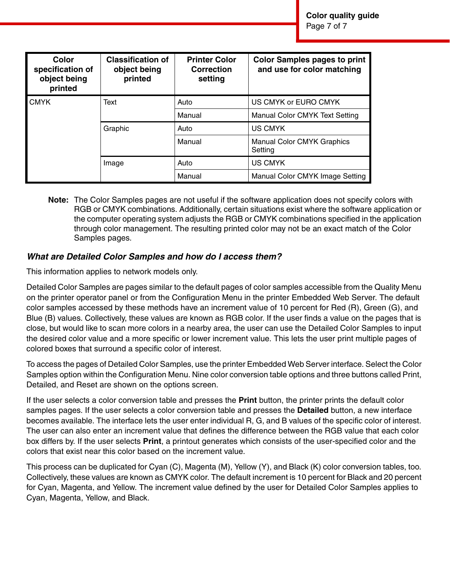| Color<br>specification of<br>object being<br>printed | <b>Classification of</b><br>object being<br>printed | <b>Printer Color</b><br><b>Correction</b><br>setting | <b>Color Samples pages to print</b><br>and use for color matching |
|------------------------------------------------------|-----------------------------------------------------|------------------------------------------------------|-------------------------------------------------------------------|
| <b>CMYK</b>                                          | Text                                                | Auto                                                 | US CMYK or EURO CMYK                                              |
|                                                      |                                                     | Manual                                               | Manual Color CMYK Text Setting                                    |
|                                                      | Graphic                                             | Auto                                                 | <b>US CMYK</b>                                                    |
|                                                      |                                                     | Manual                                               | <b>Manual Color CMYK Graphics</b><br>Setting                      |
|                                                      | Image                                               | Auto                                                 | US CMYK                                                           |
|                                                      |                                                     | Manual                                               | Manual Color CMYK Image Setting                                   |

**Note:** The Color Samples pages are not useful if the software application does not specify colors with RGB or CMYK combinations. Additionally, certain situations exist where the software application or the computer operating system adjusts the RGB or CMYK combinations specified in the application through color management. The resulting printed color may not be an exact match of the Color Samples pages.

#### *What are Detailed Color Samples and how do I access them?*

This information applies to network models only.

Detailed Color Samples are pages similar to the default pages of color samples accessible from the Quality Menu on the printer operator panel or from the Configuration Menu in the printer Embedded Web Server. The default color samples accessed by these methods have an increment value of 10 percent for Red (R), Green (G), and Blue (B) values. Collectively, these values are known as RGB color. If the user finds a value on the pages that is close, but would like to scan more colors in a nearby area, the user can use the Detailed Color Samples to input the desired color value and a more specific or lower increment value. This lets the user print multiple pages of colored boxes that surround a specific color of interest.

To access the pages of Detailed Color Samples, use the printer Embedded Web Server interface. Select the Color Samples option within the Configuration Menu. Nine color conversion table options and three buttons called Print, Detailed, and Reset are shown on the options screen.

If the user selects a color conversion table and presses the **Print** button, the printer prints the default color samples pages. If the user selects a color conversion table and presses the **Detailed** button, a new interface becomes available. The interface lets the user enter individual R, G, and B values of the specific color of interest. The user can also enter an increment value that defines the difference between the RGB value that each color box differs by. If the user selects **Print**, a printout generates which consists of the user-specified color and the colors that exist near this color based on the increment value.

This process can be duplicated for Cyan (C), Magenta (M), Yellow (Y), and Black (K) color conversion tables, too. Collectively, these values are known as CMYK color. The default increment is 10 percent for Black and 20 percent for Cyan, Magenta, and Yellow. The increment value defined by the user for Detailed Color Samples applies to Cyan, Magenta, Yellow, and Black.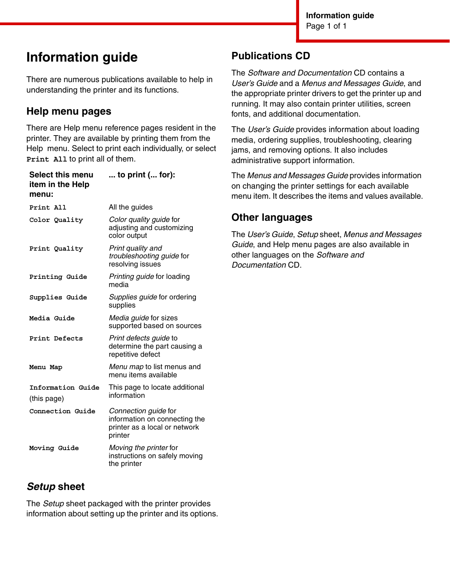# **Information guide**

There are numerous publications available to help in understanding the printer and its functions.

## **Help menu pages**

There are Help menu reference pages resident in the printer. They are available by printing them from the Help menu. Select to print each individually, or select **Print All** to print all of them.

| to $print$ ( for):                                                                                |
|---------------------------------------------------------------------------------------------------|
| All the guides                                                                                    |
| Color quality guide for<br>adjusting and customizing<br>color output                              |
| Print quality and<br>troubleshooting guide for<br>resolving issues                                |
| Printing guide for loading<br>media                                                               |
| Supplies guide for ordering<br>supplies                                                           |
| Media guide for sizes<br>supported based on sources                                               |
| Print defects guide to<br>determine the part causing a<br>repetitive defect                       |
| Menu map to list menus and<br>menu items available                                                |
| This page to locate additional<br>information                                                     |
| Connection guide for<br>information on connecting the<br>printer as a local or network<br>printer |
| Moving the printer for<br>instructions on safely moving<br>the printer                            |
|                                                                                                   |

# *Setup* **sheet**

The *Setup* sheet packaged with the printer provides information about setting up the printer and its options.

## **Publications CD**

The *Software and Documentation* CD contains a *User's Guide* and a *Menus and Messages Guide*, and the appropriate printer drivers to get the printer up and running. It may also contain printer utilities, screen fonts, and additional documentation.

The *User's Guide* provides information about loading media, ordering supplies, troubleshooting, clearing jams, and removing options. It also includes administrative support information.

The *Menus and Messages Guide* provides information on changing the printer settings for each available menu item. It describes the items and values available.

## **Other languages**

The *User's Guide*, *Setup* sheet, *Menus and Messages Guide*, and Help menu pages are also available in other languages on the *Software and Documentation* CD.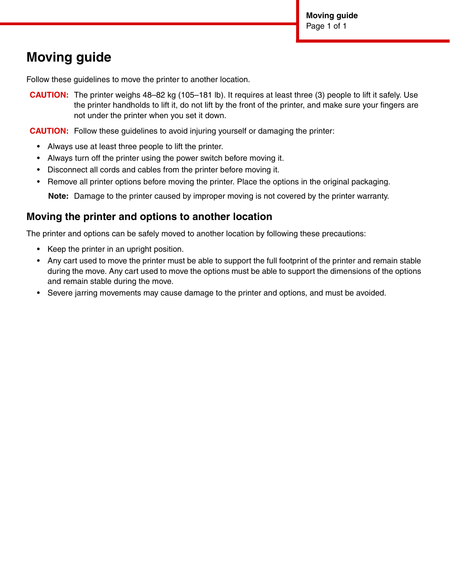# **Moving guide**

Follow these guidelines to move the printer to another location.

**CAUTION:** The printer weighs 48–82 kg (105–181 lb). It requires at least three (3) people to lift it safely. Use the printer handholds to lift it, do not lift by the front of the printer, and make sure your fingers are not under the printer when you set it down.

**CAUTION:** Follow these guidelines to avoid injuring yourself or damaging the printer:

- Always use at least three people to lift the printer.
- Always turn off the printer using the power switch before moving it.
- Disconnect all cords and cables from the printer before moving it.
- Remove all printer options before moving the printer. Place the options in the original packaging.

**Note:** Damage to the printer caused by improper moving is not covered by the printer warranty.

### **Moving the printer and options to another location**

The printer and options can be safely moved to another location by following these precautions:

- Keep the printer in an upright position.
- Any cart used to move the printer must be able to support the full footprint of the printer and remain stable during the move. Any cart used to move the options must be able to support the dimensions of the options and remain stable during the move.
- Severe jarring movements may cause damage to the printer and options, and must be avoided.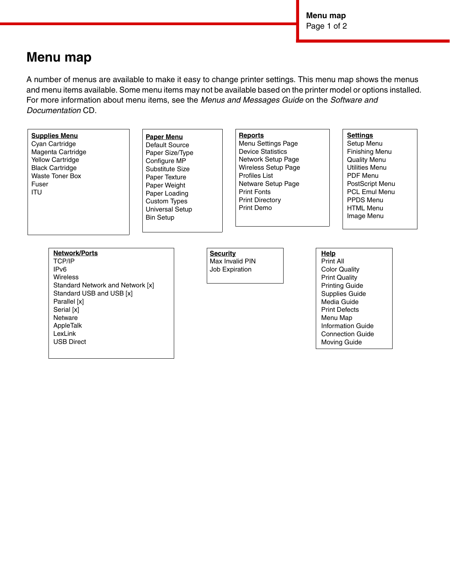**Menu map** Page 1 of 2

> Supplies Guide Media Guide Print Defects Menu Map Information Guide Connection Guide Moving Guide

# **Menu map**

A number of menus are available to make it easy to change printer settings. This menu map shows the menus and menu items available. Some menu items may not be available based on the printer model or options installed. For more information about menu items, see the *Menus and Messages Guide* on the *Software and Documentation* CD.

| <b>Supplies Menu</b><br>Cyan Cartridge<br>Magenta Cartridge<br><b>Yellow Cartridge</b><br><b>Black Cartridge</b><br>Waste Toner Box<br>Fuser<br><b>ITU</b> | <b>Paper Menu</b><br>Default Source<br>Paper Size/Type<br>Configure MP<br>Substitute Size<br>Paper Texture<br>Paper Weight<br>Paper Loading<br><b>Custom Types</b><br>Universal Setup<br><b>Bin Setup</b> | <b>Reports</b><br>Menu Settings Page<br><b>Device Statistics</b><br>Network Setup Page<br><b>Wireless Setup Page</b><br><b>Profiles List</b><br>Netware Setup Page<br><b>Print Fonts</b><br><b>Print Directory</b><br>Print Demo |                                                                                            | <b>Settings</b><br>Setup Menu<br>Finishing Menu<br><b>Quality Menu</b><br>Utilities Menu<br><b>PDF Menu</b><br>PostScript Menu<br><b>PCL Emul Menu</b><br>PPDS Menu<br><b>HTML Menu</b><br>Image Menu |
|------------------------------------------------------------------------------------------------------------------------------------------------------------|-----------------------------------------------------------------------------------------------------------------------------------------------------------------------------------------------------------|----------------------------------------------------------------------------------------------------------------------------------------------------------------------------------------------------------------------------------|--------------------------------------------------------------------------------------------|-------------------------------------------------------------------------------------------------------------------------------------------------------------------------------------------------------|
| <b>Network/Ports</b><br><b>TCP/IP</b><br>IP <sub>v6</sub><br><b>Wireless</b><br>Standard Network and Network [x]                                           |                                                                                                                                                                                                           | <b>Security</b><br>Max Invalid PIN<br>Job Expiration                                                                                                                                                                             | Help<br>Print All<br><b>Color Quality</b><br><b>Print Quality</b><br><b>Printing Guide</b> |                                                                                                                                                                                                       |

Standard Network and Network [x] Standard USB and USB [x] Parallel [x] Serial [x] Netware AppleTalk LexLink USB Direct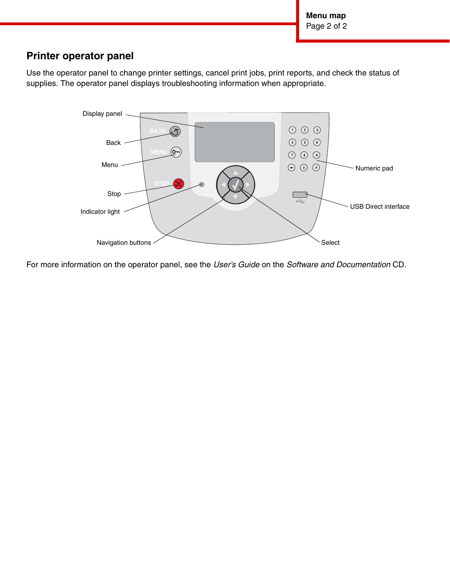**Menu map** Page 2 of 2

### **Printer operator panel**

Use the operator panel to change printer settings, cancel print jobs, print reports, and check the status of supplies. The operator panel displays troubleshooting information when appropriate.



For more information on the operator panel, see the *User's Guide* on the *Software and Documentation* CD.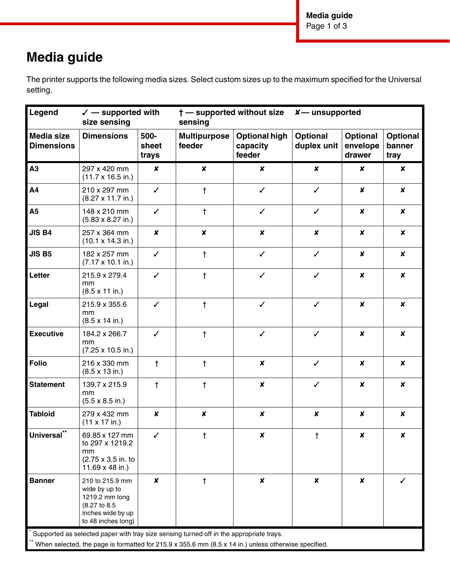**Media guide** Page 1 of 3

# **Media guide**

The printer supports the following media sizes. Select custom sizes up to the maximum specified for the Universal setting.

| Legend                                 | $\checkmark$ — supported with<br>size sensing                                                                                                                                                              |                        | sensing                       | <b>†</b> — supported without size          | $x$ — unsupported              |                                       |                                   |
|----------------------------------------|------------------------------------------------------------------------------------------------------------------------------------------------------------------------------------------------------------|------------------------|-------------------------------|--------------------------------------------|--------------------------------|---------------------------------------|-----------------------------------|
| <b>Media size</b><br><b>Dimensions</b> | <b>Dimensions</b>                                                                                                                                                                                          | 500-<br>sheet<br>trays | <b>Multipurpose</b><br>feeder | <b>Optional high</b><br>capacity<br>feeder | <b>Optional</b><br>duplex unit | <b>Optional</b><br>envelope<br>drawer | <b>Optional</b><br>banner<br>tray |
| A3                                     | 297 x 420 mm<br>$(11.7 \times 16.5 \text{ in.})$                                                                                                                                                           | $\boldsymbol{x}$       | $\boldsymbol{x}$              | $\pmb{\times}$                             | $\boldsymbol{x}$               | X                                     | $\pmb{\times}$                    |
| A <sub>4</sub>                         | 210 x 297 mm<br>$(8.27 \times 11.7 \text{ in.})$                                                                                                                                                           | $\checkmark$           | $\ddagger$                    | $\checkmark$                               | $\checkmark$                   | $\boldsymbol{x}$                      | $\boldsymbol{x}$                  |
| <b>A5</b>                              | 148 x 210 mm<br>$(5.83 \times 8.27 \text{ in.})$                                                                                                                                                           | ✓                      | $\ddagger$                    | $\checkmark$                               | $\checkmark$                   | $\pmb{\times}$                        | $\pmb{\times}$                    |
| <b>JIS B4</b>                          | 257 x 364 mm<br>$(10.1 \times 14.3 \text{ in.})$                                                                                                                                                           | $\pmb{\times}$         | $\boldsymbol{x}$              | $\pmb{\times}$                             | $\boldsymbol{x}$               | X                                     | $\pmb{\times}$                    |
| <b>JIS B5</b>                          | 182 x 257 mm<br>$(7.17 \times 10.1 \text{ in.})$                                                                                                                                                           | $\checkmark$           | $\ddagger$                    | $\checkmark$                               | $\checkmark$                   | $\boldsymbol{x}$                      | $\boldsymbol{x}$                  |
| Letter                                 | 215.9 x 279.4<br>mm<br>$(8.5 \times 11 \text{ in.})$                                                                                                                                                       | $\checkmark$           | $\ddagger$                    | $\checkmark$                               | $\checkmark$                   | $\boldsymbol{x}$                      | $\boldsymbol{x}$                  |
| Legal                                  | 215.9 x 355.6<br>mm<br>$(8.5 \times 14 \text{ in.})$                                                                                                                                                       | $\checkmark$           | $\ddagger$                    | $\checkmark$                               | $\checkmark$                   | $\boldsymbol{x}$                      | $\pmb{\times}$                    |
| <b>Executive</b>                       | 184.2 x 266.7<br>mm<br>$(7.25 \times 10.5 \text{ in.})$                                                                                                                                                    | $\checkmark$           | $\ddagger$                    | $\checkmark$                               | $\checkmark$                   | $\boldsymbol{x}$                      | $\pmb{\times}$                    |
| <b>Folio</b>                           | 216 x 330 mm<br>$(8.5 \times 13 \text{ in.})$                                                                                                                                                              | $\ddagger$             | $\ddagger$                    | $\pmb{\times}$                             | $\checkmark$                   | $\boldsymbol{x}$                      | $\boldsymbol{x}$                  |
| <b>Statement</b>                       | 139.7 x 215.9<br>mm<br>$(5.5 \times 8.5 \text{ in.})$                                                                                                                                                      | $\ddagger$             | $\ddagger$                    | $\pmb{\mathsf{x}}$                         | $\checkmark$                   | $\boldsymbol{x}$                      | $\pmb{\times}$                    |
| <b>Tabloid</b>                         | 279 x 432 mm<br>$(11 \times 17 \text{ in.})$                                                                                                                                                               | $\pmb{\times}$         | $\pmb{\times}$                | $\pmb{\times}$                             | $\boldsymbol{x}$               | $\pmb{\times}$                        | $\boldsymbol{x}$                  |
| $***$<br><b>Universal</b>              | 69.85 x 127 mm<br>to 297 x 1219.2<br>mm<br>(2.75 x 3.5 in. to<br>11.69 x 48 in.)                                                                                                                           | ✓                      | t                             | X                                          | t                              | x                                     | x                                 |
| <b>Banner</b>                          | 210 to 215.9 mm<br>wide by up to<br>1219.2 mm long<br>(8.27 to 8.5<br>inches wide by up<br>to 48 inches long)<br>* Supported as selected paper with tray size sensing turned off in the appropriate trays. | $\boldsymbol{x}$       | $\ddagger$                    | $\pmb{\times}$                             | $\boldsymbol{x}$               | $\boldsymbol{x}$                      | $\checkmark$                      |

When selected, the page is formatted for 215.9 x 355.6 mm (8.5 x 14 in.) unless otherwise specified.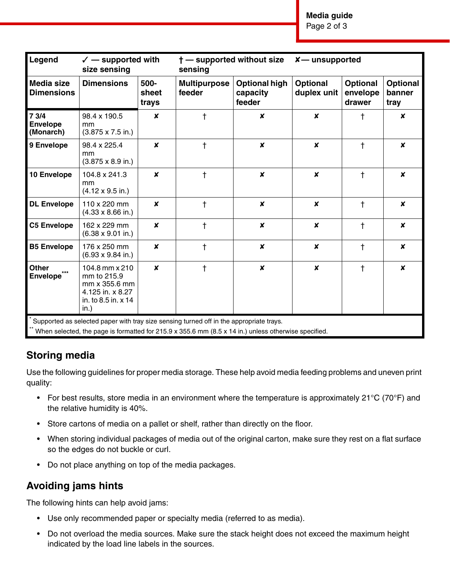**Media guide**

Page 2 of 3

| Legend                                         | $\checkmark$ — supported with<br>size sensing                                                                                                                                                   |                        | t - supported without size<br>sensing |                                            | $x$ — unsupported              |                                       |                                   |
|------------------------------------------------|-------------------------------------------------------------------------------------------------------------------------------------------------------------------------------------------------|------------------------|---------------------------------------|--------------------------------------------|--------------------------------|---------------------------------------|-----------------------------------|
| <b>Media size</b><br><b>Dimensions</b>         | <b>Dimensions</b>                                                                                                                                                                               | 500-<br>sheet<br>trays | <b>Multipurpose</b><br>feeder         | <b>Optional high</b><br>capacity<br>feeder | <b>Optional</b><br>duplex unit | <b>Optional</b><br>envelope<br>drawer | <b>Optional</b><br>banner<br>tray |
| 73/4<br><b>Envelope</b><br>(Monarch)           | 98.4 x 190.5<br>mm<br>$(3.875 \times 7.5 \text{ in.})$                                                                                                                                          | $\pmb{\times}$         | t                                     | $\pmb{\times}$                             | X                              | t                                     | $\boldsymbol{x}$                  |
| 9 Envelope                                     | 98.4 x 225.4<br>mm<br>$(3.875 \times 8.9 \text{ in.})$                                                                                                                                          | $\boldsymbol{x}$       | $\ddagger$                            | $\boldsymbol{x}$                           | $\boldsymbol{x}$               | $\ddagger$                            | $\boldsymbol{x}$                  |
| 10 Envelope                                    | 104.8 x 241.3<br>mm<br>$(4.12 \times 9.5 \text{ in.})$                                                                                                                                          | $\boldsymbol{x}$       | $\ddagger$                            | $\boldsymbol{x}$                           | $\boldsymbol{x}$               | $\ddagger$                            | $\boldsymbol{x}$                  |
| <b>DL Envelope</b>                             | 110 x 220 mm<br>$(4.33 \times 8.66 \text{ in.})$                                                                                                                                                | $\boldsymbol{x}$       | $\ddagger$                            | $\boldsymbol{x}$                           | $\boldsymbol{x}$               | $\ddagger$                            | $\boldsymbol{x}$                  |
| <b>C5 Envelope</b>                             | 162 x 229 mm<br>$(6.38 \times 9.01 \text{ in.})$                                                                                                                                                | $\pmb{\times}$         | $\ddagger$                            | $\boldsymbol{x}$                           | $\boldsymbol{x}$               | $\ddagger$                            | $\boldsymbol{x}$                  |
| <b>B5 Envelope</b>                             | 176 x 250 mm<br>$(6.93 \times 9.84 \text{ in.})$                                                                                                                                                | $\boldsymbol{x}$       | $\ddagger$                            | $\pmb{\times}$                             | X                              | $\ddagger$                            | X                                 |
| <b>Other</b><br>$***$<br>Envelope <sup>7</sup> | 104.8 mm x 210<br>mm to 215.9<br>mm x 355.6 mm<br>4.125 in. x 8.27<br>in. to 8.5 in. x 14<br>in.)                                                                                               | $\boldsymbol{x}$       | $\ddagger$                            | $\pmb{\times}$                             | $\pmb{\times}$                 | $\ddagger$                            | $\boldsymbol{x}$                  |
|                                                | Supported as selected paper with tray size sensing turned off in the appropriate trays.<br>When selected, the page is formatted for 215.9 x 355.6 mm (8.5 x 14 in.) unless otherwise specified. |                        |                                       |                                            |                                |                                       |                                   |

## **Storing media**

Use the following guidelines for proper media storage. These help avoid media feeding problems and uneven print quality:

- For best results, store media in an environment where the temperature is approximately 21 $\degree$ C (70 $\degree$ F) and the relative humidity is 40%.
- Store cartons of media on a pallet or shelf, rather than directly on the floor.
- When storing individual packages of media out of the original carton, make sure they rest on a flat surface so the edges do not buckle or curl.
- Do not place anything on top of the media packages.

## **Avoiding jams hints**

The following hints can help avoid jams:

- Use only recommended paper or specialty media (referred to as media).
- Do not overload the media sources. Make sure the stack height does not exceed the maximum height indicated by the load line labels in the sources.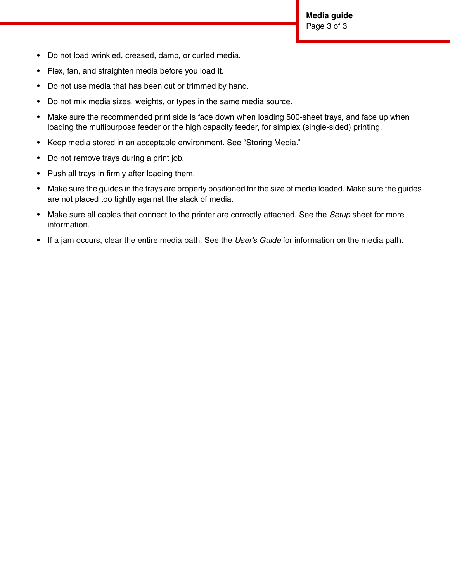- Do not load wrinkled, creased, damp, or curled media.
- Flex, fan, and straighten media before you load it.
- Do not use media that has been cut or trimmed by hand.
- Do not mix media sizes, weights, or types in the same media source.
- Make sure the recommended print side is face down when loading 500-sheet trays, and face up when loading the multipurpose feeder or the high capacity feeder, for simplex (single-sided) printing.
- Keep media stored in an acceptable environment. See "Storing Media."
- Do not remove trays during a print job.
- Push all trays in firmly after loading them.
- Make sure the guides in the trays are properly positioned for the size of media loaded. Make sure the guides are not placed too tightly against the stack of media.
- Make sure all cables that connect to the printer are correctly attached. See the *Setup* sheet for more information.
- If a jam occurs, clear the entire media path. See the *User's Guide* for information on the media path.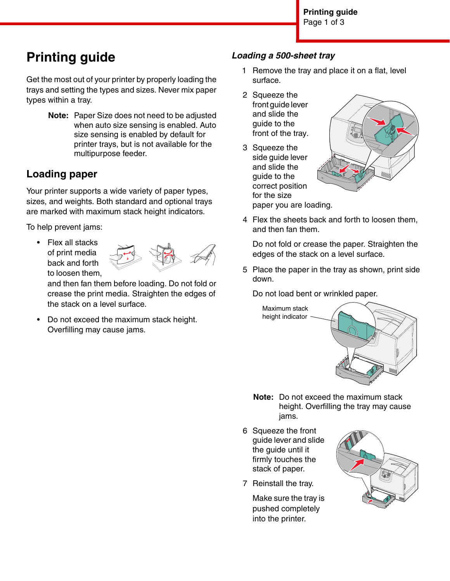# **Printing guide**

Get the most out of your printer by properly loading the trays and setting the types and sizes. Never mix paper types within a tray.

> **Note:** Paper Size does not need to be adjusted when auto size sensing is enabled. Auto size sensing is enabled by default for printer trays, but is not available for the multipurpose feeder.

# <span id="page-16-0"></span>**Loading paper**

Your printer supports a wide variety of paper types, sizes, and weights. Both standard and optional trays are marked with maximum stack height indicators.

To help prevent jams:

• Flex all stacks of print media back and forth to loosen them,



and then fan them before loading. Do not fold or crease the print media. Straighten the edges of the stack on a level surface.

• Do not exceed the maximum stack height. Overfilling may cause jams.

### *Loading a 500-sheet tray*

- 1 Remove the tray and place it on a flat, level surface.
- 2 Squeeze the front guide lever and slide the guide to the front of the tray.
- 3 Squeeze the side guide lever and slide the guide to the correct position for the size paper you are loading.



4 Flex the sheets back and forth to loosen them, and then fan them.

Do not fold or crease the paper. Straighten the edges of the stack on a level surface.

5 Place the paper in the tray as shown, print side down.

Do not load bent or wrinkled paper.



- **Note:** Do not exceed the maximum stack height. Overfilling the tray may cause jams.
- 6 Squeeze the front guide lever and slide the guide until it firmly touches the stack of paper.
- 7 Reinstall the tray.

Make sure the tray is pushed completely into the printer.

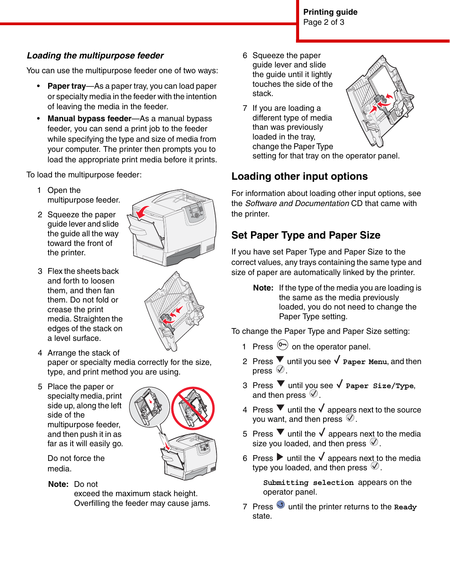## *Loading the multipurpose feeder*

You can use the multipurpose feeder one of two ways:

- **Paper tray**—As a paper tray, you can load paper or specialty media in the feeder with the intention of leaving the media in the feeder.
- **Manual bypass feeder**—As a manual bypass feeder, you can send a print job to the feeder while specifying the type and size of media from your computer. The printer then prompts you to load the appropriate print media before it prints.

To load the multipurpose feeder:

- 1 Open the multipurpose feeder.
- 2 Squeeze the paper guide lever and slide the guide all the way toward the front of the printer.
- 3 Flex the sheets back and forth to loosen them, and then fan them. Do not fold or crease the print media. Straighten the edges of the stack on a level surface.
- 
- 4 Arrange the stack of paper or specialty media correctly for the size, type, and print method you are using.
- 5 Place the paper or specialty media, print side up, along the left side of the multipurpose feeder, and then push it in as far as it will easily go.



Do not force the media.

### **Note:** Do not

exceed the maximum stack height. Overfilling the feeder may cause jams.

- 6 Squeeze the paper guide lever and slide the guide until it lightly touches the side of the stack.
- 7 If you are loading a different type of media than was previously loaded in the tray, change the Paper Type



setting for that tray on the operator panel.

# **Loading other input options**

For information about loading other input options, see the *Software and Documentation* CD that came with the printer.

# <span id="page-17-0"></span>**Set Paper Type and Paper Size**

If you have set Paper Type and Paper Size to the correct values, any trays containing the same type and size of paper are automatically linked by the printer.

> **Note:** If the type of the media you are loading is the same as the media previously loaded, you do not need to change the Paper Type setting.

To change the Paper Type and Paper Size setting:

- 1 Press  $\overline{^{(0)}\ }$  on the operator panel.
- 2 Press ▼ until you see √ Paper Menu, and then press  $\overline{\heartsuit}$ .
- 3 Press  $\blacktriangledown$  until you see  $\sqrt{\ }$  Paper Size/Type, and then press  $\heartsuit$ .
- 4 Press  $\blacktriangledown$  until the  $\blacktriangledown$  appears next to the source you want, and then press  $\mathcal{D}$ .
- 5 Press  $\blacktriangledown$  until the  $\sqrt{\ }$  appears next to the media size you loaded, and then press  $\mathcal{Q}$ .
- 6 Press  $\blacktriangleright$  until the  $\sqrt{\ }$  appears next to the media type you loaded, and then press  $\mathcal{D}$ .

**Submitting selection** appears on the operator panel.

7 Press **U** until the printer returns to the **Ready** state.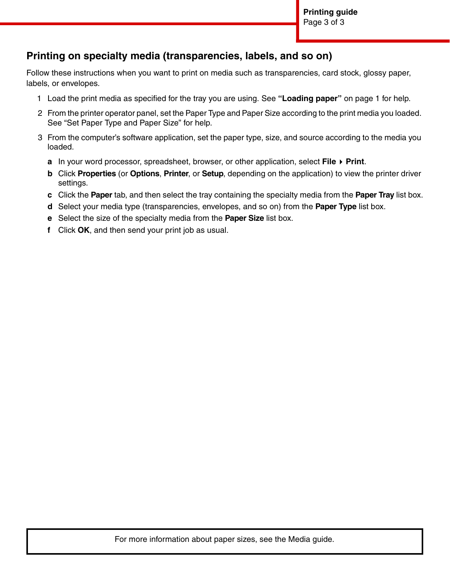## **Printing on specialty media (transparencies, labels, and so on)**

Follow these instructions when you want to print on media such as transparencies, card stock, glossy paper, labels, or envelopes.

- 1 Load the print media as specified for the tray you are using. See **["Loading paper"](#page-16-0)** on page 1 for help.
- 2 From the printer operator panel, set the Paper Type and Paper Size according to the print media you loaded. See ["Set Paper Type and Paper Size"](#page-17-0) for help.
- 3 From the computer's software application, set the paper type, size, and source according to the media you loaded.
	- **a** In your word processor, spreadsheet, browser, or other application, select **File Print**.
	- **b** Click **Properties** (or **Options**, **Printer**, or **Setup**, depending on the application) to view the printer driver settings.
	- **c** Click the **Paper** tab, and then select the tray containing the specialty media from the **Paper Tray** list box.
	- **d** Select your media type (transparencies, envelopes, and so on) from the **Paper Type** list box.
	- **e** Select the size of the specialty media from the **Paper Size** list box.
	- **f** Click **OK**, and then send your print job as usual.

For more information about paper sizes, see the Media guide.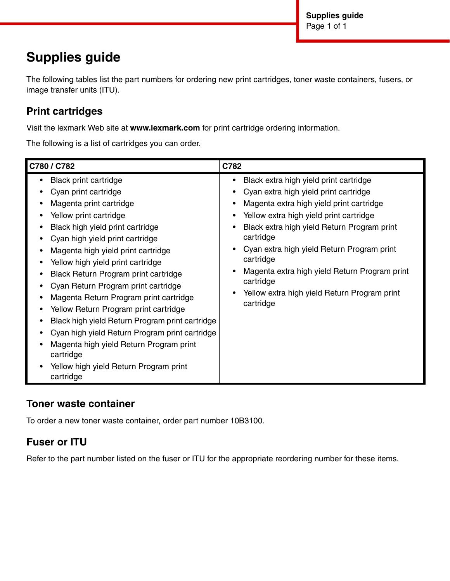# **Supplies guide**

The following tables list the part numbers for ordering new print cartridges, toner waste containers, fusers, or image transfer units (ITU).

# **Print cartridges**

Visit the lexmark Web site at **www.lexmark.com** for print cartridge ordering information.

The following is a list of cartridges you can order.

| C780 / C782                                                                                                                                                                                                                                                                                                                                                                                                                                                                                                                                                                                                                                                         | C782                                                                                                                                                                                                                                                                                                                                                                                                                     |
|---------------------------------------------------------------------------------------------------------------------------------------------------------------------------------------------------------------------------------------------------------------------------------------------------------------------------------------------------------------------------------------------------------------------------------------------------------------------------------------------------------------------------------------------------------------------------------------------------------------------------------------------------------------------|--------------------------------------------------------------------------------------------------------------------------------------------------------------------------------------------------------------------------------------------------------------------------------------------------------------------------------------------------------------------------------------------------------------------------|
| <b>Black print cartridge</b><br>٠<br>Cyan print cartridge<br>Magenta print cartridge<br>Yellow print cartridge<br>Black high yield print cartridge<br>$\bullet$<br>Cyan high yield print cartridge<br>Magenta high yield print cartridge<br>Yellow high yield print cartridge<br>Black Return Program print cartridge<br>Cyan Return Program print cartridge<br>Magenta Return Program print cartridge<br>Yellow Return Program print cartridge<br>Black high yield Return Program print cartridge<br>Cyan high yield Return Program print cartridge<br>Magenta high yield Return Program print<br>cartridge<br>Yellow high yield Return Program print<br>cartridge | Black extra high yield print cartridge<br>Cyan extra high yield print cartridge<br>Magenta extra high yield print cartridge<br>Yellow extra high yield print cartridge<br>Black extra high yield Return Program print<br>cartridge<br>Cyan extra high yield Return Program print<br>cartridge<br>Magenta extra high yield Return Program print<br>cartridge<br>Yellow extra high yield Return Program print<br>cartridge |

### **Toner waste container**

To order a new toner waste container, order part number 10B3100.

## **Fuser or ITU**

Refer to the part number listed on the fuser or ITU for the appropriate reordering number for these items.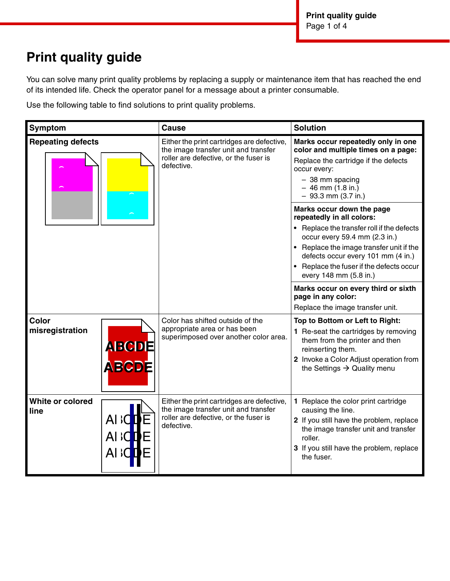# **Print quality guide**

You can solve many print quality problems by replacing a supply or maintenance item that has reached the end of its intended life. Check the operator panel for a message about a printer consumable.

Use the following table to find solutions to print quality problems.

| Symptom                  |                                  | <b>Cause</b>                                                                                                                              | <b>Solution</b>                                                                                                                                                                                                                                                                               |
|--------------------------|----------------------------------|-------------------------------------------------------------------------------------------------------------------------------------------|-----------------------------------------------------------------------------------------------------------------------------------------------------------------------------------------------------------------------------------------------------------------------------------------------|
| <b>Repeating defects</b> |                                  | Either the print cartridges are defective,<br>the image transfer unit and transfer<br>roller are defective, or the fuser is<br>defective. | Marks occur repeatedly only in one<br>color and multiple times on a page:<br>Replace the cartridge if the defects<br>occur every:<br>$-38$ mm spacing<br>$-46$ mm $(1.8$ in.)<br>$-93.3$ mm (3.7 in.)                                                                                         |
|                          |                                  |                                                                                                                                           | Marks occur down the page<br>repeatedly in all colors:<br>• Replace the transfer roll if the defects<br>occur every 59.4 mm (2.3 in.)<br>• Replace the image transfer unit if the<br>defects occur every 101 mm (4 in.)<br>• Replace the fuser if the defects occur<br>every 148 mm (5.8 in.) |
|                          |                                  |                                                                                                                                           | Marks occur on every third or sixth<br>page in any color:<br>Replace the image transfer unit.                                                                                                                                                                                                 |
| Color<br>misregistration | <b>ABCDE</b><br>ABCDE            | Color has shifted outside of the<br>appropriate area or has been<br>superimposed over another color area.                                 | Top to Bottom or Left to Right:<br>1 Re-seat the cartridges by removing<br>them from the printer and then<br>reinserting them.<br>2 Invoke a Color Adjust operation from<br>the Settings $\rightarrow$ Quality menu                                                                           |
| White or colored<br>line | AI GIE<br>AI <b>CDE</b><br>AI ¦O | Either the print cartridges are defective,<br>the image transfer unit and transfer<br>roller are defective, or the fuser is<br>defective. | 1 Replace the color print cartridge<br>causing the line.<br>2 If you still have the problem, replace<br>the image transfer unit and transfer<br>roller.<br>3 If you still have the problem, replace<br>the fuser.                                                                             |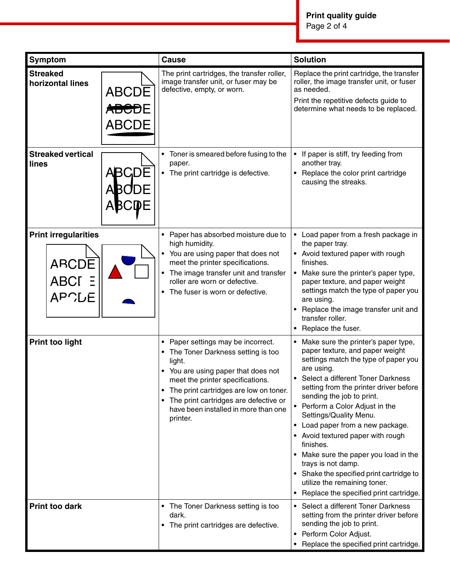| Symptom                                                        |                                                    | <b>Cause</b>                                                                                                                                                                                                                                                                                               | <b>Solution</b>                                                                                                                                                                                                                                                                                                                                                                                                                                                                                                                                                                      |
|----------------------------------------------------------------|----------------------------------------------------|------------------------------------------------------------------------------------------------------------------------------------------------------------------------------------------------------------------------------------------------------------------------------------------------------------|--------------------------------------------------------------------------------------------------------------------------------------------------------------------------------------------------------------------------------------------------------------------------------------------------------------------------------------------------------------------------------------------------------------------------------------------------------------------------------------------------------------------------------------------------------------------------------------|
| <b>Streaked</b><br>horizontal lines                            | <b>ABCDE</b><br>A <del>BCD</del> E<br><b>ABCDE</b> | The print cartridges, the transfer roller,<br>image transfer unit, or fuser may be<br>defective, empty, or worn.                                                                                                                                                                                           | Replace the print cartridge, the transfer<br>roller, the image transfer unit, or fuser<br>as needed.<br>Print the repetitive defects guide to<br>determine what needs to be replaced.                                                                                                                                                                                                                                                                                                                                                                                                |
| <b>Streaked vertical</b><br>lines                              | <b>ABCDE</b><br><b>ABODE</b><br><b>ABCDE</b>       | • Toner is smeared before fusing to the<br>paper.<br>• The print cartridge is defective.                                                                                                                                                                                                                   | If paper is stiff, try feeding from<br>٠<br>another tray.<br>Replace the color print cartridge<br>$\bullet$<br>causing the streaks.                                                                                                                                                                                                                                                                                                                                                                                                                                                  |
| <b>Print irregularities</b><br>ARCDE<br>ABCI E<br><b>APCLE</b> |                                                    | Paper has absorbed moisture due to<br>high humidity.<br>• You are using paper that does not<br>meet the printer specifications.<br>The image transfer unit and transfer<br>roller are worn or defective.<br>• The fuser is worn or defective.                                                              | Load paper from a fresh package in<br>the paper tray.<br>• Avoid textured paper with rough<br>finishes.<br>Make sure the printer's paper type,<br>$\bullet$<br>paper texture, and paper weight<br>settings match the type of paper you<br>are using.<br>Replace the image transfer unit and<br>transfer roller.<br>Replace the fuser.                                                                                                                                                                                                                                                |
| <b>Print too light</b>                                         |                                                    | • Paper settings may be incorrect.<br>• The Toner Darkness setting is too<br>light.<br>• You are using paper that does not<br>meet the printer specifications.<br>The print cartridges are low on toner.<br>٠<br>The print cartridges are defective or<br>have been installed in more than one<br>printer. | • Make sure the printer's paper type,<br>paper texture, and paper weight<br>settings match the type of paper you<br>are using.<br>Select a different Toner Darkness<br>setting from the printer driver before<br>sending the job to print.<br>• Perform a Color Adjust in the<br>Settings/Quality Menu.<br>Load paper from a new package.<br>٠<br>Avoid textured paper with rough<br>finishes.<br>Make sure the paper you load in the<br>٠<br>trays is not damp.<br>Shake the specified print cartridge to<br>utilize the remaining toner.<br>Replace the specified print cartridge. |
| <b>Print too dark</b>                                          |                                                    | • The Toner Darkness setting is too<br>dark.<br>• The print cartridges are defective.                                                                                                                                                                                                                      | Select a different Toner Darkness<br>٠<br>setting from the printer driver before<br>sending the job to print.<br>Perform Color Adjust.<br>٠<br>Replace the specified print cartridge.<br>٠                                                                                                                                                                                                                                                                                                                                                                                           |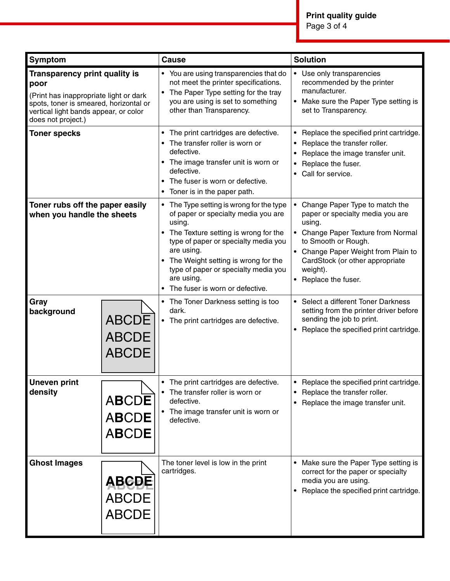| Symptom                                                                                                                                                                                         |                                                              | <b>Cause</b>                                                                                                                                                                                                                                                                                                                                                                                                                    | <b>Solution</b>                                                                                                                                                                                                                                                                                                                                                                                                   |
|-------------------------------------------------------------------------------------------------------------------------------------------------------------------------------------------------|--------------------------------------------------------------|---------------------------------------------------------------------------------------------------------------------------------------------------------------------------------------------------------------------------------------------------------------------------------------------------------------------------------------------------------------------------------------------------------------------------------|-------------------------------------------------------------------------------------------------------------------------------------------------------------------------------------------------------------------------------------------------------------------------------------------------------------------------------------------------------------------------------------------------------------------|
| <b>Transparency print quality is</b><br>poor<br>(Print has inappropriate light or dark<br>spots, toner is smeared, horizontal or<br>vertical light bands appear, or color<br>does not project.) |                                                              | • You are using transparencies that do<br>not meet the printer specifications.<br>• The Paper Type setting for the tray<br>you are using is set to something<br>other than Transparency.                                                                                                                                                                                                                                        | • Use only transparencies<br>recommended by the printer<br>manufacturer.<br>Make sure the Paper Type setting is<br>set to Transparency.                                                                                                                                                                                                                                                                           |
| <b>Toner specks</b>                                                                                                                                                                             |                                                              | The print cartridges are defective.<br>The transfer roller is worn or<br>defective.<br>• The image transfer unit is worn or<br>defective.<br>The fuser is worn or defective.<br>• Toner is in the paper path.                                                                                                                                                                                                                   | • Replace the specified print cartridge.<br>Replace the transfer roller.<br>Replace the image transfer unit.<br>Replace the fuser.<br>• Call for service.                                                                                                                                                                                                                                                         |
| Toner rubs off the paper easily<br>when you handle the sheets<br>Gray<br>background<br><b>ABCDE</b><br><b>ABCDE</b>                                                                             |                                                              | • The Type setting is wrong for the type<br>of paper or specialty media you are<br>using.<br>• The Texture setting is wrong for the<br>type of paper or specialty media you<br>are using.<br>• The Weight setting is wrong for the<br>type of paper or specialty media you<br>are using.<br>The fuser is worn or defective.<br>$\bullet$<br>• The Toner Darkness setting is too<br>dark.<br>The print cartridges are defective. | • Change Paper Type to match the<br>paper or specialty media you are<br>using.<br>• Change Paper Texture from Normal<br>to Smooth or Rough.<br>• Change Paper Weight from Plain to<br>CardStock (or other appropriate<br>weight).<br>• Replace the fuser.<br>• Select a different Toner Darkness<br>setting from the printer driver before<br>sending the job to print.<br>Replace the specified print cartridge. |
| <b>Uneven print</b><br>density                                                                                                                                                                  | <b>ABCDE</b><br><b>ABCDE</b><br><b>ABCDE</b><br><b>ABCDE</b> | The print cartridges are defective.<br>The transfer roller is worn or<br>defective.<br>The image transfer unit is worn or<br>defective.                                                                                                                                                                                                                                                                                         | Replace the specified print cartridge.<br>Replace the transfer roller.<br>Replace the image transfer unit.<br>٠                                                                                                                                                                                                                                                                                                   |
| <b>Ghost Images</b>                                                                                                                                                                             | <b>ABCDE</b><br><b>ABCDE</b><br><b>ABCDE</b>                 | The toner level is low in the print<br>cartridges.                                                                                                                                                                                                                                                                                                                                                                              | Make sure the Paper Type setting is<br>correct for the paper or specialty<br>media you are using.<br>Replace the specified print cartridge.<br>$\bullet$                                                                                                                                                                                                                                                          |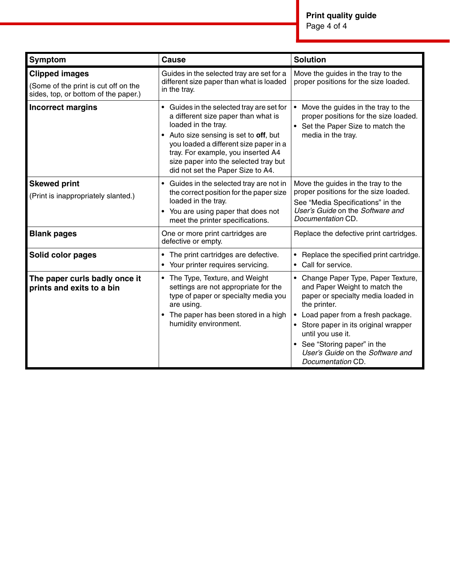Page 4 of 4

| Symptom                                                                                               | <b>Cause</b>                                                                                                                                                                                                                                                                                                  | <b>Solution</b>                                                                                                                                                                                                                                                                                                                |
|-------------------------------------------------------------------------------------------------------|---------------------------------------------------------------------------------------------------------------------------------------------------------------------------------------------------------------------------------------------------------------------------------------------------------------|--------------------------------------------------------------------------------------------------------------------------------------------------------------------------------------------------------------------------------------------------------------------------------------------------------------------------------|
| <b>Clipped images</b><br>(Some of the print is cut off on the<br>sides, top, or bottom of the paper.) | Guides in the selected tray are set for a<br>different size paper than what is loaded<br>in the tray.                                                                                                                                                                                                         | Move the guides in the tray to the<br>proper positions for the size loaded.                                                                                                                                                                                                                                                    |
| <b>Incorrect margins</b>                                                                              | Guides in the selected tray are set for<br>a different size paper than what is<br>loaded in the tray.<br>• Auto size sensing is set to off, but<br>you loaded a different size paper in a<br>tray. For example, you inserted A4<br>size paper into the selected tray but<br>did not set the Paper Size to A4. | Move the guides in the tray to the<br>proper positions for the size loaded.<br>Set the Paper Size to match the<br>media in the tray.                                                                                                                                                                                           |
| <b>Skewed print</b><br>(Print is inappropriately slanted.)                                            | Guides in the selected tray are not in<br>the correct position for the paper size<br>loaded in the tray.<br>• You are using paper that does not<br>meet the printer specifications.                                                                                                                           | Move the guides in the tray to the<br>proper positions for the size loaded.<br>See "Media Specifications" in the<br>User's Guide on the Software and<br>Documentation CD.                                                                                                                                                      |
| <b>Blank pages</b>                                                                                    | One or more print cartridges are<br>defective or empty.                                                                                                                                                                                                                                                       | Replace the defective print cartridges.                                                                                                                                                                                                                                                                                        |
| Solid color pages                                                                                     | The print cartridges are defective.<br>$\bullet$<br>Your printer requires servicing.<br>$\bullet$                                                                                                                                                                                                             | Replace the specified print cartridge.<br>$\bullet$<br>Call for service.<br>$\bullet$                                                                                                                                                                                                                                          |
| The paper curls badly once it<br>prints and exits to a bin                                            | • The Type, Texture, and Weight<br>settings are not appropriate for the<br>type of paper or specialty media you<br>are using.<br>The paper has been stored in a high<br>humidity environment.                                                                                                                 | • Change Paper Type, Paper Texture,<br>and Paper Weight to match the<br>paper or specialty media loaded in<br>the printer.<br>Load paper from a fresh package.<br>$\bullet$<br>Store paper in its original wrapper<br>until you use it.<br>See "Storing paper" in the<br>User's Guide on the Software and<br>Documentation CD. |